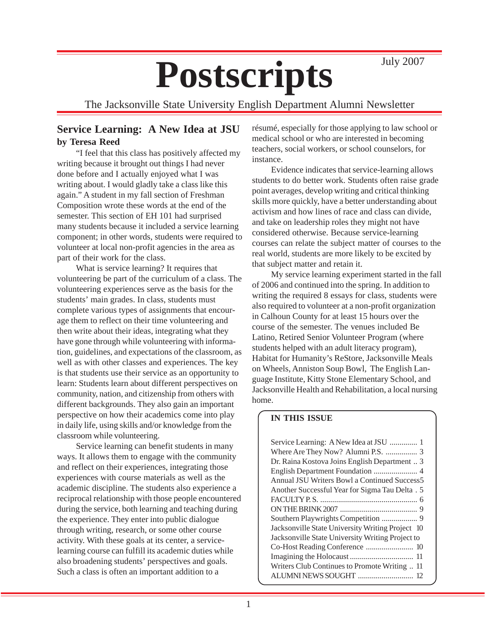# Postscripts July 2007

The Jacksonville State University English Department Alumni Newsletter

## **Service Learning: A New Idea at JSU by Teresa Reed**

"I feel that this class has positively affected my writing because it brought out things I had never done before and I actually enjoyed what I was writing about. I would gladly take a class like this again." A student in my fall section of Freshman Composition wrote these words at the end of the semester. This section of EH 101 had surprised many students because it included a service learning component; in other words, students were required to volunteer at local non-profit agencies in the area as part of their work for the class.

What is service learning? It requires that volunteering be part of the curriculum of a class. The volunteering experiences serve as the basis for the students' main grades. In class, students must complete various types of assignments that encourage them to reflect on their time volunteering and then write about their ideas, integrating what they have gone through while volunteering with information, guidelines, and expectations of the classroom, as well as with other classes and experiences. The key is that students use their service as an opportunity to learn: Students learn about different perspectives on community, nation, and citizenship from others with different backgrounds. They also gain an important perspective on how their academics come into play in daily life, using skills and/or knowledge from the classroom while volunteering.

Service learning can benefit students in many ways. It allows them to engage with the community and reflect on their experiences, integrating those experiences with course materials as well as the academic discipline. The students also experience a reciprocal relationship with those people encountered during the service, both learning and teaching during the experience. They enter into public dialogue through writing, research, or some other course activity. With these goals at its center, a servicelearning course can fulfill its academic duties while also broadening students' perspectives and goals. Such a class is often an important addition to a

résumé, especially for those applying to law school or medical school or who are interested in becoming teachers, social workers, or school counselors, for instance.

Evidence indicates that service-learning allows students to do better work. Students often raise grade point averages, develop writing and critical thinking skills more quickly, have a better understanding about activism and how lines of race and class can divide, and take on leadership roles they might not have considered otherwise. Because service-learning courses can relate the subject matter of courses to the real world, students are more likely to be excited by that subject matter and retain it.

My service learning experiment started in the fall of 2006 and continued into the spring. In addition to writing the required 8 essays for class, students were also required to volunteer at a non-profit organization in Calhoun County for at least 15 hours over the course of the semester. The venues included Be Latino, Retired Senior Volunteer Program (where students helped with an adult literacy program), Habitat for Humanity's ReStore, Jacksonville Meals on Wheels, Anniston Soup Bowl, The English Language Institute, Kitty Stone Elementary School, and Jacksonville Health and Rehabilitation, a local nursing home.

#### **IN THIS ISSUE**

| Service Learning: A New Idea at JSU  1           |
|--------------------------------------------------|
| Where Are They Now? Alumni P.S.  3               |
| Dr. Raina Kostova Joins English Department  3    |
|                                                  |
| Annual JSU Writers Bowl a Continued Success5     |
| Another Successful Year for Sigma Tau Delta. 5   |
|                                                  |
|                                                  |
|                                                  |
| Jacksonville State University Writing Project 10 |
| Jacksonville State University Writing Project to |
|                                                  |
|                                                  |
| Writers Club Continues to Promote Writing  11    |
|                                                  |
|                                                  |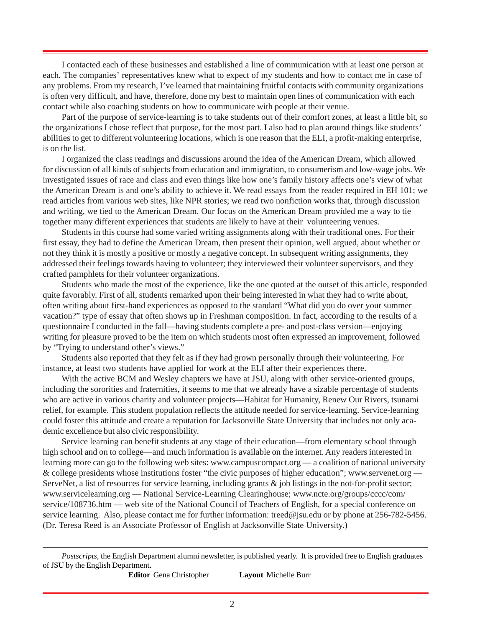I contacted each of these businesses and established a line of communication with at least one person at each. The companies' representatives knew what to expect of my students and how to contact me in case of any problems. From my research, I've learned that maintaining fruitful contacts with community organizations is often very difficult, and have, therefore, done my best to maintain open lines of communication with each contact while also coaching students on how to communicate with people at their venue.

Part of the purpose of service-learning is to take students out of their comfort zones, at least a little bit, so the organizations I chose reflect that purpose, for the most part. I also had to plan around things like students' abilities to get to different volunteering locations, which is one reason that the ELI, a profit-making enterprise, is on the list.

I organized the class readings and discussions around the idea of the American Dream, which allowed for discussion of all kinds of subjects from education and immigration, to consumerism and low-wage jobs. We investigated issues of race and class and even things like how one's family history affects one's view of what the American Dream is and one's ability to achieve it. We read essays from the reader required in EH 101; we read articles from various web sites, like NPR stories; we read two nonfiction works that, through discussion and writing, we tied to the American Dream. Our focus on the American Dream provided me a way to tie together many different experiences that students are likely to have at their volunteering venues.

Students in this course had some varied writing assignments along with their traditional ones. For their first essay, they had to define the American Dream, then present their opinion, well argued, about whether or not they think it is mostly a positive or mostly a negative concept. In subsequent writing assignments, they addressed their feelings towards having to volunteer; they interviewed their volunteer supervisors, and they crafted pamphlets for their volunteer organizations.

Students who made the most of the experience, like the one quoted at the outset of this article, responded quite favorably. First of all, students remarked upon their being interested in what they had to write about, often writing about first-hand experiences as opposed to the standard "What did you do over your summer vacation?" type of essay that often shows up in Freshman composition. In fact, according to the results of a questionnaire I conducted in the fall—having students complete a pre- and post-class version—enjoying writing for pleasure proved to be the item on which students most often expressed an improvement, followed by "Trying to understand other's views."

Students also reported that they felt as if they had grown personally through their volunteering. For instance, at least two students have applied for work at the ELI after their experiences there.

With the active BCM and Wesley chapters we have at JSU, along with other service-oriented groups, including the sororities and fraternities, it seems to me that we already have a sizable percentage of students who are active in various charity and volunteer projects—Habitat for Humanity, Renew Our Rivers, tsunami relief, for example. This student population reflects the attitude needed for service-learning. Service-learning could foster this attitude and create a reputation for Jacksonville State University that includes not only academic excellence but also civic responsibility.

Service learning can benefit students at any stage of their education—from elementary school through high school and on to college—and much information is available on the internet. Any readers interested in learning more can go to the following web sites: www.campuscompact.org — a coalition of national university & college presidents whose institutions foster "the civic purposes of higher education"; www.servenet.org — ServeNet, a list of resources for service learning, including grants  $\&$  job listings in the not-for-profit sector; www.servicelearning.org — National Service-Learning Clearinghouse; www.ncte.org/groups/cccc/com/ service/108736.htm — web site of the National Council of Teachers of English, for a special conference on service learning. Also, please contact me for further information: treed@jsu.edu or by phone at 256-782-5456. (Dr. Teresa Reed is an Associate Professor of English at Jacksonville State University.)

**Editor** Gena Christopher **Layout** Michelle Burr

*Postscripts,* the English Department alumni newsletter, is published yearly. It is provided free to English graduates of JSU by the English Department.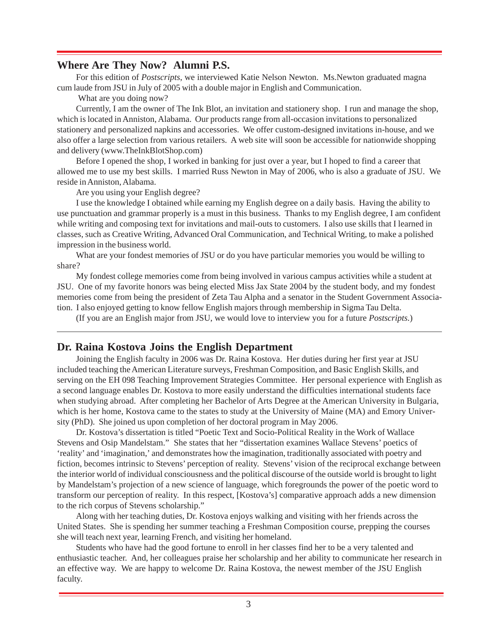### **Where Are They Now? Alumni P.S.**

For this edition of *Postscripts*, we interviewed Katie Nelson Newton. Ms.Newton graduated magna cum laude from JSU in July of 2005 with a double major in English and Communication.

What are you doing now?

Currently, I am the owner of The Ink Blot, an invitation and stationery shop. I run and manage the shop, which is located in Anniston, Alabama. Our products range from all-occasion invitations to personalized stationery and personalized napkins and accessories. We offer custom-designed invitations in-house, and we also offer a large selection from various retailers. A web site will soon be accessible for nationwide shopping and delivery (www.TheInkBlotShop.com)

Before I opened the shop, I worked in banking for just over a year, but I hoped to find a career that allowed me to use my best skills. I married Russ Newton in May of 2006, who is also a graduate of JSU. We reside in Anniston, Alabama.

Are you using your English degree?

I use the knowledge I obtained while earning my English degree on a daily basis. Having the ability to use punctuation and grammar properly is a must in this business. Thanks to my English degree, I am confident while writing and composing text for invitations and mail-outs to customers. I also use skills that I learned in classes, such as Creative Writing, Advanced Oral Communication, and Technical Writing, to make a polished impression in the business world.

What are your fondest memories of JSU or do you have particular memories you would be willing to share?

My fondest college memories come from being involved in various campus activities while a student at JSU. One of my favorite honors was being elected Miss Jax State 2004 by the student body, and my fondest memories come from being the president of Zeta Tau Alpha and a senator in the Student Government Association. I also enjoyed getting to know fellow English majors through membership in Sigma Tau Delta.

(If you are an English major from JSU, we would love to interview you for a future *Postscripts.*)

#### **Dr. Raina Kostova Joins the English Department**

Joining the English faculty in 2006 was Dr. Raina Kostova. Her duties during her first year at JSU included teaching the American Literature surveys, Freshman Composition, and Basic English Skills, and serving on the EH 098 Teaching Improvement Strategies Committee. Her personal experience with English as a second language enables Dr. Kostova to more easily understand the difficulties international students face when studying abroad. After completing her Bachelor of Arts Degree at the American University in Bulgaria, which is her home, Kostova came to the states to study at the University of Maine (MA) and Emory University (PhD). She joined us upon completion of her doctoral program in May 2006.

Dr. Kostova's dissertation is titled "Poetic Text and Socio-Political Reality in the Work of Wallace Stevens and Osip Mandelstam." She states that her "dissertation examines Wallace Stevens' poetics of 'reality' and 'imagination,' and demonstrates how the imagination, traditionally associated with poetry and fiction, becomes intrinsic to Stevens' perception of reality. Stevens' vision of the reciprocal exchange between the interior world of individual consciousness and the political discourse of the outside world is brought to light by Mandelstam's projection of a new science of language, which foregrounds the power of the poetic word to transform our perception of reality. In this respect, [Kostova's] comparative approach adds a new dimension to the rich corpus of Stevens scholarship."

Along with her teaching duties, Dr. Kostova enjoys walking and visiting with her friends across the United States. She is spending her summer teaching a Freshman Composition course, prepping the courses she will teach next year, learning French, and visiting her homeland.

Students who have had the good fortune to enroll in her classes find her to be a very talented and enthusiastic teacher. And, her colleagues praise her scholarship and her ability to communicate her research in an effective way. We are happy to welcome Dr. Raina Kostova, the newest member of the JSU English faculty.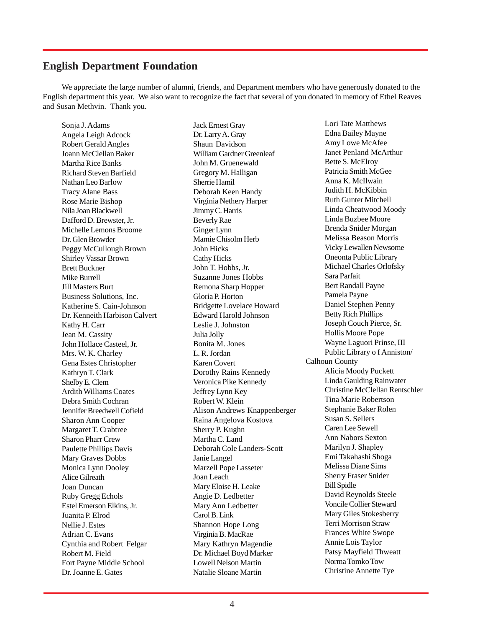#### **English Department Foundation**

We appreciate the large number of alumni, friends, and Department members who have generously donated to the English department this year. We also want to recognize the fact that several of you donated in memory of Ethel Reaves and Susan Methvin. Thank you.

Sonja J. Adams Angela Leigh Adcock Robert Gerald Angles Joann McClellan Baker Martha Rice Banks Richard Steven Barfield Nathan Leo Barlow Tracy Alane Bass Rose Marie Bishop Nila Joan Blackwell Dafford D. Brewster, Jr. Michelle Lemons Broome Dr. Glen Browder Peggy McCullough Brown Shirley Vassar Brown Brett Buckner Mike Burrell Jill Masters Burt Business Solutions, Inc. Katherine S. Cain-Johnson Dr. Kenneith Harbison Calvert Kathy H. Carr Jean M. Cassity John Hollace Casteel, Jr. Mrs. W. K. Charley Gena Estes Christopher Kathryn T. Clark Shelby E. Clem Ardith Williams Coates Debra Smith Cochran Jennifer Breedwell Cofield Sharon Ann Cooper Margaret T. Crabtree Sharon Pharr Crew Paulette Phillips Davis Mary Graves Dobbs Monica Lynn Dooley Alice Gilreath Joan Duncan Ruby Gregg Echols Estel Emerson Elkins, Jr. Juanita P. Elrod Nellie J. Estes Adrian C. Evans Cynthia and Robert Felgar Robert M. Field Fort Payne Middle School Dr. Joanne E. Gates

Jack Ernest Gray Dr. Larry A. Gray Shaun Davidson William Gardner Greenleaf John M. Gruenewald Gregory M. Halligan Sherrie Hamil Deborah Keen Handy Virginia Nethery Harper Jimmy C. Harris Beverly Rae Ginger Lynn Mamie Chisolm Herb John Hicks Cathy Hicks John T. Hobbs, Jr. Suzanne Jones Hobbs Remona Sharp Hopper Gloria P. Horton Bridgette Lovelace Howard Edward Harold Johnson Leslie J. Johnston Julia Jolly Bonita M. Jones L. R. Jordan Karen Covert Dorothy Rains Kennedy Veronica Pike Kennedy Jeffrey Lynn Key Robert W. Klein Alison Andrews Knappenberger Raina Angelova Kostova Sherry P. Kughn Martha C. Land Deborah Cole Landers-Scott Janie Langel Marzell Pope Lasseter Joan Leach Mary Eloise H. Leake Angie D. Ledbetter Mary Ann Ledbetter Carol B. Link Shannon Hope Long Virginia B. MacRae Mary Kathryn Magendie Dr. Michael Boyd Marker Lowell Nelson Martin Natalie Sloane Martin

Lori Tate Matthews Edna Bailey Mayne Amy Lowe McAfee Janet Penland McArthur Bette S. McElroy Patricia Smith McGee Anna K. McIlwain Judith H. McKibbin Ruth Gunter Mitchell Linda Cheatwood Moody Linda Buzbee Moore Brenda Snider Morgan Melissa Beason Morris Vicky Lewallen Newsome Oneonta Public Library Michael Charles Orlofsky Sara Parfait Bert Randall Payne Pamela Payne Daniel Stephen Penny Betty Rich Phillips Joseph Couch Pierce, Sr. Hollis Moore Pope Wayne Laguori Prinse, III Public Library o f Anniston/ Calhoun County Alicia Moody Puckett Linda Gaulding Rainwater Christine McClellan Rentschler Tina Marie Robertson Stephanie Baker Rolen Susan S. Sellers Caren Lee Sewell Ann Nabors Sexton Marilyn J. Shapley Emi Takahashi Shoga Melissa Diane Sims Sherry Fraser Snider Bill Spidle David Reynolds Steele Voncile Collier Steward Mary Giles Stokesberry Terri Morrison Straw Frances White Swope Annie Lois Taylor Patsy Mayfield Thweatt Norma Tomko Tow Christine Annette Tye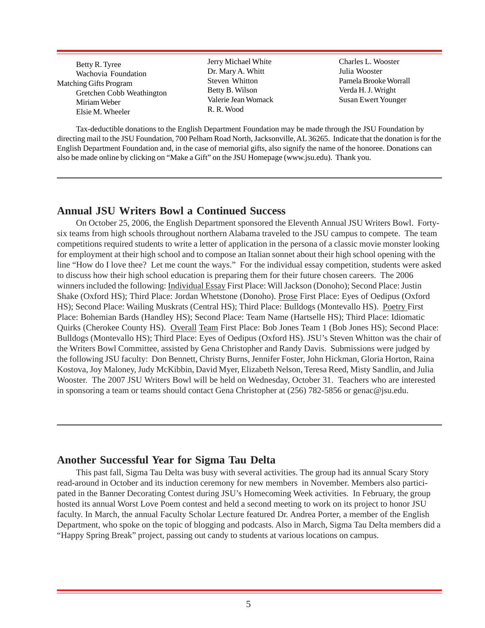Betty R. Tyree Wachovia Foundation Matching Gifts Program Gretchen Cobb Weathington Miriam Weber Elsie M. Wheeler

Jerry Michael White Dr. Mary A. Whitt Steven Whitton Betty B. Wilson Valerie Jean Womack R. R. Wood

Charles L. Wooster Julia Wooster Pamela Brooke Worrall Verda H. J. Wright Susan Ewert Younger

Tax-deductible donations to the English Department Foundation may be made through the JSU Foundation by directing mail to the JSU Foundation, 700 Pelham Road North, Jacksonville, AL 36265. Indicate that the donation is for the English Department Foundation and, in the case of memorial gifts, also signify the name of the honoree. Donations can also be made online by clicking on "Make a Gift" on the JSU Homepage (www.jsu.edu). Thank you.

## **Annual JSU Writers Bowl a Continued Success**

On October 25, 2006, the English Department sponsored the Eleventh Annual JSU Writers Bowl. Fortysix teams from high schools throughout northern Alabama traveled to the JSU campus to compete. The team competitions required students to write a letter of application in the persona of a classic movie monster looking for employment at their high school and to compose an Italian sonnet about their high school opening with the line "How do I love thee? Let me count the ways." For the individual essay competition, students were asked to discuss how their high school education is preparing them for their future chosen careers. The 2006 winners included the following: Individual Essay First Place: Will Jackson (Donoho); Second Place: Justin Shake (Oxford HS); Third Place: Jordan Whetstone (Donoho). Prose First Place: Eyes of Oedipus (Oxford HS); Second Place: Wailing Muskrats (Central HS); Third Place: Bulldogs (Montevallo HS). Poetry First Place: Bohemian Bards (Handley HS); Second Place: Team Name (Hartselle HS); Third Place: Idiomatic Quirks (Cherokee County HS). Overall Team First Place: Bob Jones Team 1 (Bob Jones HS); Second Place: Bulldogs (Montevallo HS); Third Place: Eyes of Oedipus (Oxford HS). JSU's Steven Whitton was the chair of the Writers Bowl Committee, assisted by Gena Christopher and Randy Davis. Submissions were judged by the following JSU faculty: Don Bennett, Christy Burns, Jennifer Foster, John Hickman, Gloria Horton, Raina Kostova, Joy Maloney, Judy McKibbin, David Myer, Elizabeth Nelson, Teresa Reed, Misty Sandlin, and Julia Wooster. The 2007 JSU Writers Bowl will be held on Wednesday, October 31. Teachers who are interested in sponsoring a team or teams should contact Gena Christopher at (256) 782-5856 or genac@jsu.edu.

#### **Another Successful Year for Sigma Tau Delta**

This past fall, Sigma Tau Delta was busy with several activities. The group had its annual Scary Story read-around in October and its induction ceremony for new members in November. Members also participated in the Banner Decorating Contest during JSU's Homecoming Week activities. In February, the group hosted its annual Worst Love Poem contest and held a second meeting to work on its project to honor JSU faculty. In March, the annual Faculty Scholar Lecture featured Dr. Andrea Porter, a member of the English Department, who spoke on the topic of blogging and podcasts. Also in March, Sigma Tau Delta members did a "Happy Spring Break" project, passing out candy to students at various locations on campus.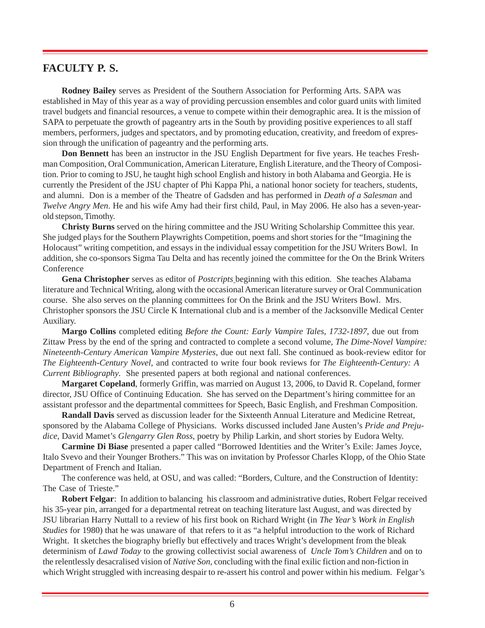## **FACULTY P. S.**

**Rodney Bailey** serves as President of the Southern Association for Performing Arts. SAPA was established in May of this year as a way of providing percussion ensembles and color guard units with limited travel budgets and financial resources, a venue to compete within their demographic area. It is the mission of SAPA to perpetuate the growth of pageantry arts in the South by providing positive experiences to all staff members, performers, judges and spectators, and by promoting education, creativity, and freedom of expression through the unification of pageantry and the performing arts.

**Don Bennett** has been an instructor in the JSU English Department for five years. He teaches Freshman Composition, Oral Communication, American Literature, English Literature, and the Theory of Composition. Prior to coming to JSU, he taught high school English and history in both Alabama and Georgia. He is currently the President of the JSU chapter of Phi Kappa Phi, a national honor society for teachers, students, and alumni. Don is a member of the Theatre of Gadsden and has performed in *Death of a Salesman* and *Twelve Angry Men*. He and his wife Amy had their first child, Paul, in May 2006. He also has a seven-yearold stepson, Timothy.

**Christy Burns** served on the hiring committee and the JSU Writing Scholarship Committee this year. She judged plays for the Southern Playwrights Competition, poems and short stories for the "Imagining the Holocaust" writing competition, and essays in the individual essay competition for the JSU Writers Bowl. In addition, she co-sponsors Sigma Tau Delta and has recently joined the committee for the On the Brink Writers Conference

**Gena Christopher** serves as editor of *Postcripts* beginning with this edition. She teaches Alabama literature and Technical Writing, along with the occasional American literature survey or Oral Communication course. She also serves on the planning committees for On the Brink and the JSU Writers Bowl. Mrs. Christopher sponsors the JSU Circle K International club and is a member of the Jacksonville Medical Center Auxiliary.

**Margo Collins** completed editing *Before the Count: Early Vampire Tales, 1732-1897*, due out from Zittaw Press by the end of the spring and contracted to complete a second volume, *The Dime-Novel Vampire: Nineteenth-Century American Vampire Mysteries*, due out next fall. She continued as book-review editor for *The Eighteenth-Century Novel*, and contracted to write four book reviews for *The Eighteenth-Century: A Current Bibliography*. She presented papers at both regional and national conferences.

**Margaret Copeland**, formerly Griffin, was married on August 13, 2006, to David R. Copeland, former director, JSU Office of Continuing Education. She has served on the Department's hiring committee for an assistant professor and the departmental committees for Speech, Basic English, and Freshman Composition.

**Randall Davis** served as discussion leader for the Sixteenth Annual Literature and Medicine Retreat, sponsored by the Alabama College of Physicians. Works discussed included Jane Austen's *Pride and Prejudice*, David Mamet's *Glengarry Glen Ross*, poetry by Philip Larkin, and short stories by Eudora Welty.

**Carmine Di Biase** presented a paper called "Borrowed Identities and the Writer's Exile: James Joyce, Italo Svevo and their Younger Brothers." This was on invitation by Professor Charles Klopp, of the Ohio State Department of French and Italian.

The conference was held, at OSU, and was called: "Borders, Culture, and the Construction of Identity: The Case of Trieste."

**Robert Felgar**: In addition to balancing his classroom and administrative duties, Robert Felgar received his 35-year pin, arranged for a departmental retreat on teaching literature last August, and was directed by JSU librarian Harry Nuttall to a review of his first book on Richard Wright (in *The Year's Work in English Studies* for 1980) that he was unaware of that refers to it as "a helpful introduction to the work of Richard Wright. It sketches the biography briefly but effectively and traces Wright's development from the bleak determinism of *Lawd Today* to the growing collectivist social awareness of *Uncle Tom's Children* and on to the relentlessly desacralised vision of *Native Son*, concluding with the final exilic fiction and non-fiction in which Wright struggled with increasing despair to re-assert his control and power within his medium. Felgar's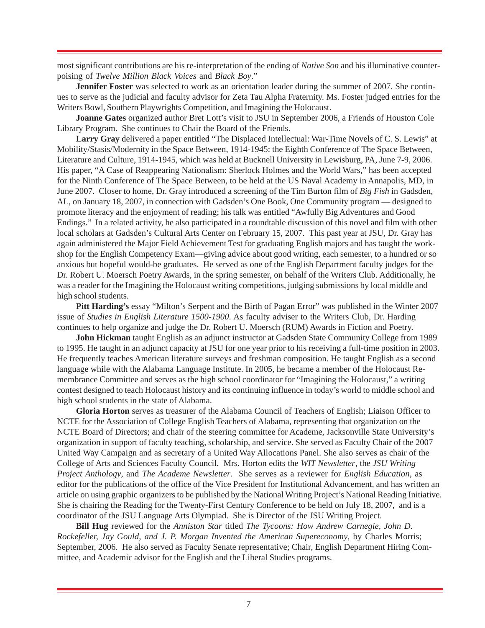most significant contributions are his re-interpretation of the ending of *Native Son* and his illuminative counterpoising of *Twelve Million Black Voices* and *Black Boy*."

**Jennifer Foster** was selected to work as an orientation leader during the summer of 2007. She continues to serve as the judicial and faculty advisor for Zeta Tau Alpha Fraternity. Ms. Foster judged entries for the Writers Bowl, Southern Playwrights Competition, and Imagining the Holocaust.

**Joanne Gates** organized author Bret Lott's visit to JSU in September 2006, a Friends of Houston Cole Library Program. She continues to Chair the Board of the Friends.

**Larry Gray** delivered a paper entitled "The Displaced Intellectual: War-Time Novels of C. S. Lewis" at Mobility/Stasis/Modernity in the Space Between, 1914-1945: the Eighth Conference of The Space Between, Literature and Culture, 1914-1945, which was held at Bucknell University in Lewisburg, PA, June 7-9, 2006. His paper, "A Case of Reappearing Nationalism: Sherlock Holmes and the World Wars," has been accepted for the Ninth Conference of The Space Between, to be held at the US Naval Academy in Annapolis, MD, in June 2007. Closer to home, Dr. Gray introduced a screening of the Tim Burton film of *Big Fish* in Gadsden, AL, on January 18, 2007, in connection with Gadsden's One Book, One Community program — designed to promote literacy and the enjoyment of reading; his talk was entitled "Awfully Big Adventures and Good Endings." In a related activity, he also participated in a roundtable discussion of this novel and film with other local scholars at Gadsden's Cultural Arts Center on February 15, 2007. This past year at JSU, Dr. Gray has again administered the Major Field Achievement Test for graduating English majors and has taught the workshop for the English Competency Exam—giving advice about good writing, each semester, to a hundred or so anxious but hopeful would-be graduates. He served as one of the English Department faculty judges for the Dr. Robert U. Moersch Poetry Awards, in the spring semester, on behalf of the Writers Club. Additionally, he was a reader for the Imagining the Holocaust writing competitions, judging submissions by local middle and high school students.

**Pitt Harding's** essay "Milton's Serpent and the Birth of Pagan Error" was published in the Winter 2007 issue of *Studies in English Literature 1500-1900*. As faculty adviser to the Writers Club, Dr. Harding continues to help organize and judge the Dr. Robert U. Moersch (RUM) Awards in Fiction and Poetry.

**John Hickman** taught English as an adjunct instructor at Gadsden State Community College from 1989 to 1995. He taught in an adjunct capacity at JSU for one year prior to his receiving a full-time position in 2003. He frequently teaches American literature surveys and freshman composition. He taught English as a second language while with the Alabama Language Institute. In 2005, he became a member of the Holocaust Remembrance Committee and serves as the high school coordinator for "Imagining the Holocaust," a writing contest designed to teach Holocaust history and its continuing influence in today's world to middle school and high school students in the state of Alabama.

**Gloria Horton** serves as treasurer of the Alabama Council of Teachers of English; Liaison Officer to NCTE for the Association of College English Teachers of Alabama, representing that organization on the NCTE Board of Directors; and chair of the steering committee for Academe, Jacksonville State University's organization in support of faculty teaching, scholarship, and service. She served as Faculty Chair of the 2007 United Way Campaign and as secretary of a United Way Allocations Panel. She also serves as chair of the College of Arts and Sciences Faculty Council. Mrs. Horton edits the *WIT Newsletter*, the *JSU Writing Project Anthology*, and *The Academe Newsletter*. She serves as a reviewer for *English Education*, as editor for the publications of the office of the Vice President for Institutional Advancement, and has written an article on using graphic organizers to be published by the National Writing Project's National Reading Initiative. She is chairing the Reading for the Twenty-First Century Conference to be held on July 18, 2007, and is a coordinator of the JSU Language Arts Olympiad. She is Director of the JSU Writing Project.

**Bill Hug** reviewed for the *Anniston Star* titled *The Tycoons: How Andrew Carnegie, John D. Rockefeller, Jay Gould, and J. P. Morgan Invented the American Supereconomy*, by Charles Morris; September, 2006. He also served as Faculty Senate representative; Chair, English Department Hiring Committee, and Academic advisor for the English and the Liberal Studies programs.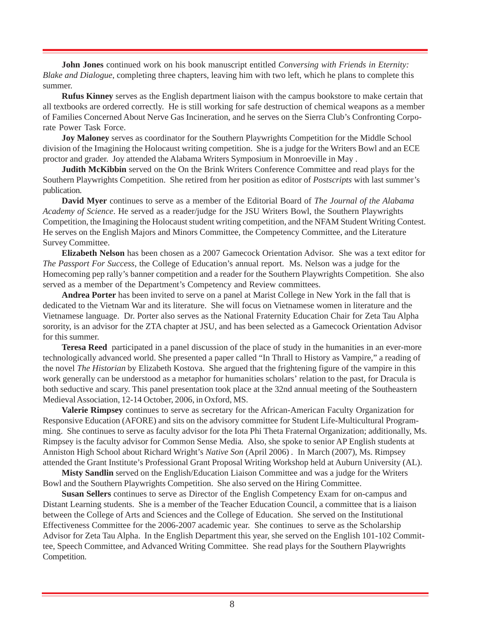**John Jones** continued work on his book manuscript entitled *Conversing with Friends in Eternity: Blake and Dialogue*, completing three chapters, leaving him with two left, which he plans to complete this summer.

**Rufus Kinney** serves as the English department liaison with the campus bookstore to make certain that all textbooks are ordered correctly. He is still working for safe destruction of chemical weapons as a member of Families Concerned About Nerve Gas Incineration, and he serves on the Sierra Club's Confronting Corporate Power Task Force.

**Joy Maloney** serves as coordinator for the Southern Playwrights Competition for the Middle School division of the Imagining the Holocaust writing competition. She is a judge for the Writers Bowl and an ECE proctor and grader. Joy attended the Alabama Writers Symposium in Monroeville in May .

**Judith McKibbin** served on the On the Brink Writers Conference Committee and read plays for the Southern Playwrights Competition. She retired from her position as editor of *Postscripts* with last summer's publication.

**David Myer** continues to serve as a member of the Editorial Board of *The Journal of the Alabama Academy of Science*. He served as a reader/judge for the JSU Writers Bowl, the Southern Playwrights Competition, the Imagining the Holocaust student writing competition, and the NFAM Student Writing Contest. He serves on the English Majors and Minors Committee, the Competency Committee, and the Literature Survey Committee.

**Elizabeth Nelson** has been chosen as a 2007 Gamecock Orientation Advisor. She was a text editor for *The Passport For Success*, the College of Education's annual report. Ms. Nelson was a judge for the Homecoming pep rally's banner competition and a reader for the Southern Playwrights Competition. She also served as a member of the Department's Competency and Review committees.

**Andrea Porter** has been invited to serve on a panel at Marist College in New York in the fall that is dedicated to the Vietnam War and its literature. She will focus on Vietnamese women in literature and the Vietnamese language. Dr. Porter also serves as the National Fraternity Education Chair for Zeta Tau Alpha sorority, is an advisor for the ZTA chapter at JSU, and has been selected as a Gamecock Orientation Advisor for this summer.

**Teresa Reed** participated in a panel discussion of the place of study in the humanities in an ever-more technologically advanced world. She presented a paper called "In Thrall to History as Vampire," a reading of the novel *The Historian* by Elizabeth Kostova. She argued that the frightening figure of the vampire in this work generally can be understood as a metaphor for humanities scholars' relation to the past, for Dracula is both seductive and scary. This panel presentation took place at the 32nd annual meeting of the Southeastern Medieval Association, 12-14 October, 2006, in Oxford, MS.

**Valerie Rimpsey** continues to serve as secretary for the African-American Faculty Organization for Responsive Education (AFORE) and sits on the advisory committee for Student Life-Multicultural Programming. She continues to serve as faculty advisor for the Iota Phi Theta Fraternal Organization; additionally, Ms. Rimpsey is the faculty advisor for Common Sense Media*.* Also, she spoke to senior AP English students at Anniston High School about Richard Wright's *Native Son* (April 2006) *.* In March (2007), Ms. Rimpsey attended the Grant Institute's Professional Grant Proposal Writing Workshop held at Auburn University (AL).

**Misty Sandlin** served on the English/Education Liaison Committee and was a judge for the Writers Bowl and the Southern Playwrights Competition. She also served on the Hiring Committee.

**Susan Sellers** continues to serve as Director of the English Competency Exam for on-campus and Distant Learning students. She is a member of the Teacher Education Council, a committee that is a liaison between the College of Arts and Sciences and the College of Education. She served on the Institutional Effectiveness Committee for the 2006-2007 academic year. She continues to serve as the Scholarship Advisor for Zeta Tau Alpha. In the English Department this year, she served on the English 101-102 Committee, Speech Committee, and Advanced Writing Committee. She read plays for the Southern Playwrights Competition.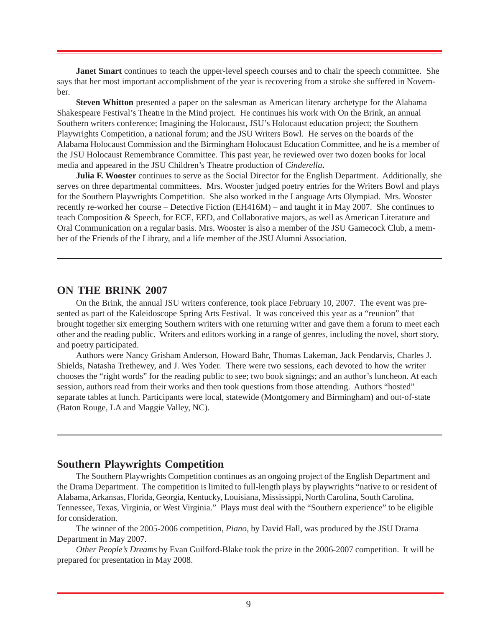**Janet Smart** continues to teach the upper-level speech courses and to chair the speech committee. She says that her most important accomplishment of the year is recovering from a stroke she suffered in November.

**Steven Whitton** presented a paper on the salesman as American literary archetype for the Alabama Shakespeare Festival's Theatre in the Mind project. He continues his work with On the Brink, an annual Southern writers conference; Imagining the Holocaust, JSU's Holocaust education project; the Southern Playwrights Competition, a national forum; and the JSU Writers Bowl. He serves on the boards of the Alabama Holocaust Commission and the Birmingham Holocaust Education Committee, and he is a member of the JSU Holocaust Remembrance Committee. This past year, he reviewed over two dozen books for local media and appeared in the JSU Children's Theatre production of *Cinderella***.**

**Julia F. Wooster** continues to serve as the Social Director for the English Department. Additionally, she serves on three departmental committees. Mrs. Wooster judged poetry entries for the Writers Bowl and plays for the Southern Playwrights Competition. She also worked in the Language Arts Olympiad. Mrs. Wooster recently re-worked her course – Detective Fiction (EH416M) – and taught it in May 2007. She continues to teach Composition & Speech, for ECE, EED, and Collaborative majors, as well as American Literature and Oral Communication on a regular basis. Mrs. Wooster is also a member of the JSU Gamecock Club, a member of the Friends of the Library, and a life member of the JSU Alumni Association.

#### **ON THE BRINK 2007**

On the Brink, the annual JSU writers conference, took place February 10, 2007. The event was presented as part of the Kaleidoscope Spring Arts Festival. It was conceived this year as a "reunion" that brought together six emerging Southern writers with one returning writer and gave them a forum to meet each other and the reading public. Writers and editors working in a range of genres, including the novel, short story, and poetry participated.

Authors were Nancy Grisham Anderson, Howard Bahr, Thomas Lakeman, Jack Pendarvis, Charles J. Shields, Natasha Trethewey, and J. Wes Yoder. There were two sessions, each devoted to how the writer chooses the "right words" for the reading public to see; two book signings; and an author's luncheon. At each session, authors read from their works and then took questions from those attending. Authors "hosted" separate tables at lunch. Participants were local, statewide (Montgomery and Birmingham) and out-of-state (Baton Rouge, LA and Maggie Valley, NC).

### **Southern Playwrights Competition**

The Southern Playwrights Competition continues as an ongoing project of the English Department and the Drama Department. The competition is limited to full-length plays by playwrights "native to or resident of Alabama, Arkansas, Florida, Georgia, Kentucky, Louisiana, Mississippi, North Carolina, South Carolina, Tennessee, Texas, Virginia, or West Virginia." Plays must deal with the "Southern experience" to be eligible for consideration.

The winner of the 2005-2006 competition, *Piano,* by David Hall, was produced by the JSU Drama Department in May 2007.

*Other People's Dreams* by Evan Guilford-Blake took the prize in the 2006-2007 competition. It will be prepared for presentation in May 2008.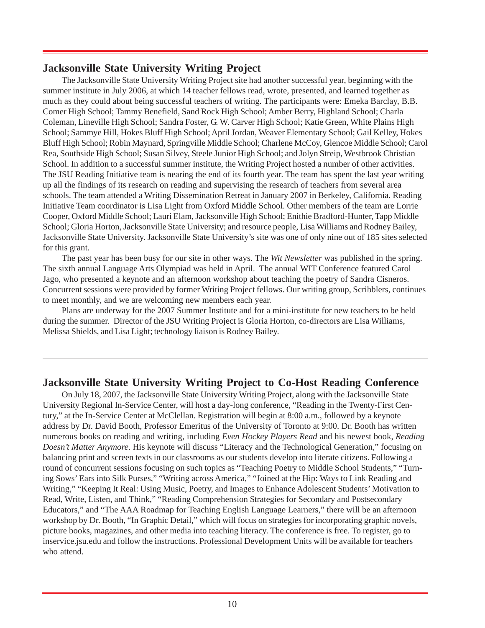## **Jacksonville State University Writing Project**

The Jacksonville State University Writing Project site had another successful year, beginning with the summer institute in July 2006, at which 14 teacher fellows read, wrote, presented, and learned together as much as they could about being successful teachers of writing. The participants were: Emeka Barclay, B.B. Comer High School; Tammy Benefield, Sand Rock High School; Amber Berry, Highland School; Charla Coleman, Lineville High School; Sandra Foster, G. W. Carver High School; Katie Green, White Plains High School; Sammye Hill, Hokes Bluff High School; April Jordan, Weaver Elementary School; Gail Kelley, Hokes Bluff High School; Robin Maynard, Springville Middle School; Charlene McCoy, Glencoe Middle School; Carol Rea, Southside High School; Susan Silvey, Steele Junior High School; and Jolyn Streip, Westbrook Christian School. In addition to a successful summer institute, the Writing Project hosted a number of other activities. The JSU Reading Initiative team is nearing the end of its fourth year. The team has spent the last year writing up all the findings of its research on reading and supervising the research of teachers from several area schools. The team attended a Writing Dissemination Retreat in January 2007 in Berkeley, California. Reading Initiative Team coordinator is Lisa Light from Oxford Middle School. Other members of the team are Lorrie Cooper, Oxford Middle School; Lauri Elam, Jacksonville High School; Enithie Bradford-Hunter, Tapp Middle School; Gloria Horton, Jacksonville State University; and resource people, Lisa Williams and Rodney Bailey, Jacksonville State University. Jacksonville State University's site was one of only nine out of 185 sites selected for this grant.

The past year has been busy for our site in other ways. The *Wit Newsletter* was published in the spring. The sixth annual Language Arts Olympiad was held in April. The annual WIT Conference featured Carol Jago, who presented a keynote and an afternoon workshop about teaching the poetry of Sandra Cisneros. Concurrent sessions were provided by former Writing Project fellows. Our writing group, Scribblers, continues to meet monthly, and we are welcoming new members each year.

Plans are underway for the 2007 Summer Institute and for a mini-institute for new teachers to be held during the summer. Director of the JSU Writing Project is Gloria Horton, co-directors are Lisa Williams, Melissa Shields, and Lisa Light; technology liaison is Rodney Bailey.

## **Jacksonville State University Writing Project to Co-Host Reading Conference**

On July 18, 2007, the Jacksonville State University Writing Project, along with the Jacksonville State University Regional In-Service Center, will host a day-long conference, "Reading in the Twenty-First Century," at the In-Service Center at McClellan. Registration will begin at 8:00 a.m., followed by a keynote address by Dr. David Booth, Professor Emeritus of the University of Toronto at 9:00. Dr. Booth has written numerous books on reading and writing, including *Even Hockey Players Read* and his newest book, *Reading Doesn't Matter Anymore*. His keynote will discuss "Literacy and the Technological Generation," focusing on balancing print and screen texts in our classrooms as our students develop into literate citizens. Following a round of concurrent sessions focusing on such topics as "Teaching Poetry to Middle School Students," "Turning Sows' Ears into Silk Purses," "Writing across America," "Joined at the Hip: Ways to Link Reading and Writing," "Keeping It Real: Using Music, Poetry, and Images to Enhance Adolescent Students' Motivation to Read, Write, Listen, and Think," "Reading Comprehension Strategies for Secondary and Postsecondary Educators," and "The AAA Roadmap for Teaching English Language Learners," there will be an afternoon workshop by Dr. Booth, "In Graphic Detail," which will focus on strategies for incorporating graphic novels, picture books, magazines, and other media into teaching literacy. The conference is free. To register, go to inservice.jsu.edu and follow the instructions. Professional Development Units will be available for teachers who attend.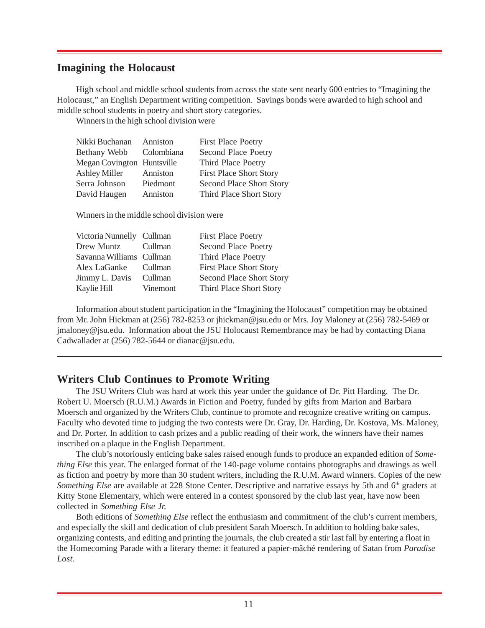#### **Imagining the Holocaust**

High school and middle school students from across the state sent nearly 600 entries to "Imagining the Holocaust," an English Department writing competition. Savings bonds were awarded to high school and middle school students in poetry and short story categories.

Winners in the high school division were

| Nikki Buchanan             | Anniston   | <b>First Place Poetry</b>      |
|----------------------------|------------|--------------------------------|
| Bethany Webb               | Colombiana | Second Place Poetry            |
| Megan Covington Huntsville |            | Third Place Poetry             |
| <b>Ashley Miller</b>       | Anniston   | <b>First Place Short Story</b> |
| Serra Johnson              | Piedmont   | Second Place Short Story       |
| David Haugen               | Anniston   | Third Place Short Story        |

Winners in the middle school division were

| Victoria Nunnelly Cullman | <b>First Place Poetry</b>      |
|---------------------------|--------------------------------|
| Cullman                   | Second Place Poetry            |
| Savanna Williams Cullman  | Third Place Poetry             |
| Cullman                   | <b>First Place Short Story</b> |
| Cullman                   | Second Place Short Story       |
| Vinemont                  | Third Place Short Story        |
|                           |                                |

Information about student participation in the "Imagining the Holocaust" competition may be obtained from Mr. John Hickman at (256) 782-8253 or jhickman@jsu.edu or Mrs. Joy Maloney at (256) 782-5469 or jmaloney@jsu.edu. Information about the JSU Holocaust Remembrance may be had by contacting Diana Cadwallader at (256) 782-5644 or dianac@jsu.edu.

### **Writers Club Continues to Promote Writing**

The JSU Writers Club was hard at work this year under the guidance of Dr. Pitt Harding. The Dr. Robert U. Moersch (R.U.M.) Awards in Fiction and Poetry, funded by gifts from Marion and Barbara Moersch and organized by the Writers Club, continue to promote and recognize creative writing on campus. Faculty who devoted time to judging the two contests were Dr. Gray, Dr. Harding, Dr. Kostova, Ms. Maloney, and Dr. Porter. In addition to cash prizes and a public reading of their work, the winners have their names inscribed on a plaque in the English Department.

The club's notoriously enticing bake sales raised enough funds to produce an expanded edition of *Something Else* this year. The enlarged format of the 140-page volume contains photographs and drawings as well as fiction and poetry by more than 30 student writers, including the R.U.M. Award winners. Copies of the new *Something Else* are available at 228 Stone Center. Descriptive and narrative essays by 5th and 6<sup>th</sup> graders at Kitty Stone Elementary, which were entered in a contest sponsored by the club last year, have now been collected in *Something Else Jr.*

Both editions of *Something Else* reflect the enthusiasm and commitment of the club's current members, and especially the skill and dedication of club president Sarah Moersch. In addition to holding bake sales, organizing contests, and editing and printing the journals, the club created a stir last fall by entering a float in the Homecoming Parade with a literary theme: it featured a papier-mâché rendering of Satan from *Paradise Lost*.